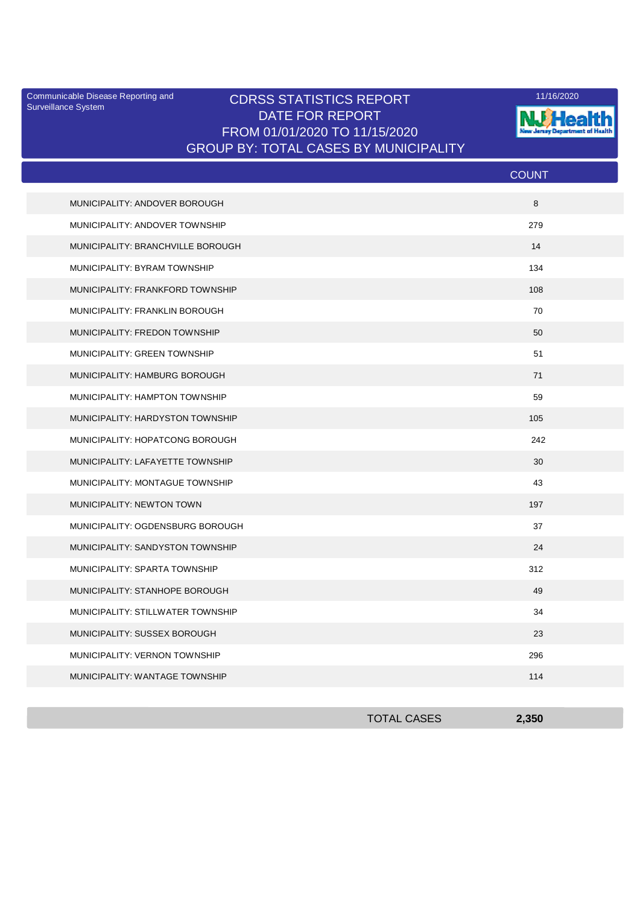Surveillance System

## Communicable Disease Reporting and **CDRSS STATISTICS REPORT** 11/16/2020<br>Surveillance Statem DATE FOR REPORT FROM 01/01/2020 TO 11/15/2020 GROUP BY: TOTAL CASES BY MUNICIPALITY



|                                   | <b>COUNT</b> |
|-----------------------------------|--------------|
| MUNICIPALITY: ANDOVER BOROUGH     | 8            |
| MUNICIPALITY: ANDOVER TOWNSHIP    | 279          |
| MUNICIPALITY: BRANCHVILLE BOROUGH | 14           |
| MUNICIPALITY: BYRAM TOWNSHIP      | 134          |
| MUNICIPALITY: FRANKFORD TOWNSHIP  | 108          |
| MUNICIPALITY: FRANKLIN BOROUGH    | 70           |
| MUNICIPALITY: FREDON TOWNSHIP     | 50           |
| MUNICIPALITY: GREEN TOWNSHIP      | 51           |
| MUNICIPALITY: HAMBURG BOROUGH     | 71           |
| MUNICIPALITY: HAMPTON TOWNSHIP    | 59           |
| MUNICIPALITY: HARDYSTON TOWNSHIP  | 105          |
| MUNICIPALITY: HOPATCONG BOROUGH   | 242          |
| MUNICIPALITY: LAFAYETTE TOWNSHIP  | 30           |
| MUNICIPALITY: MONTAGUE TOWNSHIP   | 43           |
| MUNICIPALITY: NEWTON TOWN         | 197          |
| MUNICIPALITY: OGDENSBURG BOROUGH  | 37           |
| MUNICIPALITY: SANDYSTON TOWNSHIP  | 24           |
| MUNICIPALITY: SPARTA TOWNSHIP     | 312          |
| MUNICIPALITY: STANHOPE BOROUGH    | 49           |
| MUNICIPALITY: STILLWATER TOWNSHIP | 34           |
| MUNICIPALITY: SUSSEX BOROUGH      | 23           |
| MUNICIPALITY: VERNON TOWNSHIP     | 296          |
| MUNICIPALITY: WANTAGE TOWNSHIP    | 114          |

| <b>TOTAL CASES</b> | 2,350 |
|--------------------|-------|
|                    |       |